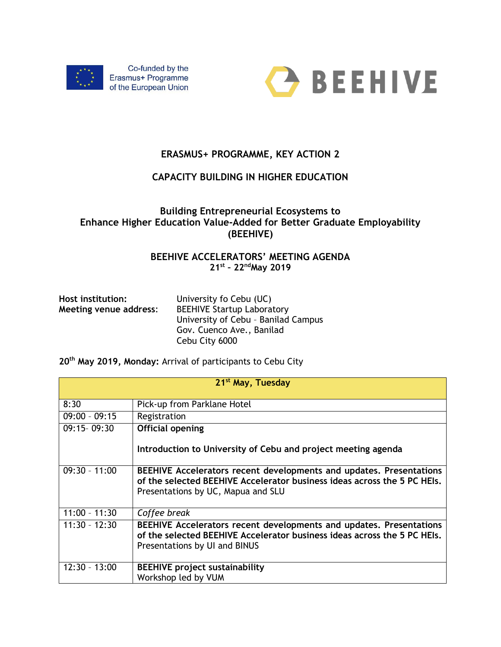



# **ERASMUS+ PROGRAMME, KEY ACTION 2**

## **CAPACITY BUILDING IN HIGHER EDUCATION**

## **Building Entrepreneurial Ecosystems to Enhance Higher Education Value-Added for Better Graduate Employability (BEEHIVE)**

### **BEEHIVE ACCELERATORS' MEETING AGENDA 21st – 22ndMay 2019**

| Host institution:<br>Meeting venue address: | University fo Cebu (UC)<br><b>BEEHIVE Startup Laboratory</b><br>University of Cebu - Banilad Campus |
|---------------------------------------------|-----------------------------------------------------------------------------------------------------|
|                                             | Gov. Cuenco Ave., Banilad<br>Cebu City 6000                                                         |

**20th May 2019, Monday:** Arrival of participants to Cebu City

| 21 <sup>st</sup> May, Tuesday |                                                                                                                                                                                       |
|-------------------------------|---------------------------------------------------------------------------------------------------------------------------------------------------------------------------------------|
| 8:30                          | Pick-up from Parklane Hotel                                                                                                                                                           |
| $09:00 - 09:15$               | Registration                                                                                                                                                                          |
| 09:15-09:30                   | <b>Official opening</b><br>Introduction to University of Cebu and project meeting agenda                                                                                              |
| $09:30 - 11:00$               | BEEHIVE Accelerators recent developments and updates. Presentations<br>of the selected BEEHIVE Accelerator business ideas across the 5 PC HEIs.<br>Presentations by UC, Mapua and SLU |
| $11:00 - 11:30$               | Coffee break                                                                                                                                                                          |
| $11:30 - 12:30$               | BEEHIVE Accelerators recent developments and updates. Presentations<br>of the selected BEEHIVE Accelerator business ideas across the 5 PC HEIs.<br>Presentations by UI and BINUS      |
| $12:30 - 13:00$               | <b>BEEHIVE project sustainability</b><br>Workshop led by VUM                                                                                                                          |